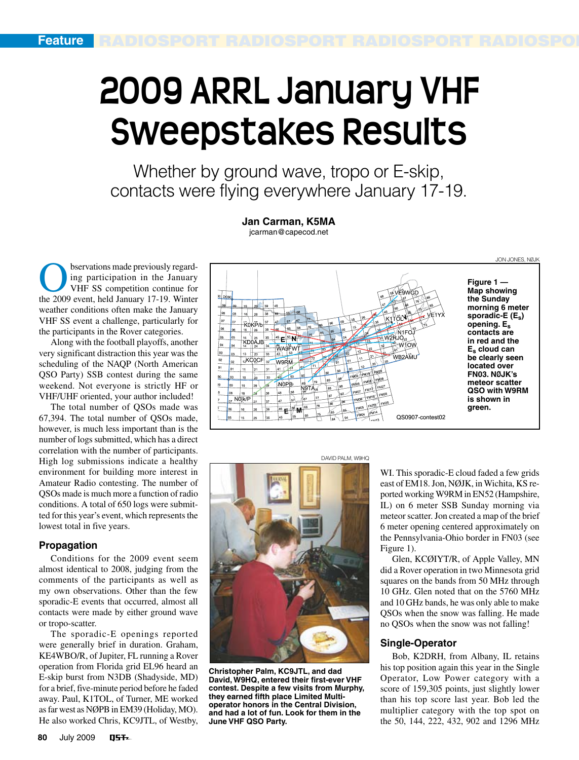# **2009 ARRL January VHF Sweepstakes Results**

Whether by ground wave, tropo or E-skip, contacts were flying everywhere January 17-19.

> **Jan Carman, K5MA** jcarman@capecod.net

bservations made previously regarding participation in the January VHF SS competition continue for the 2009 event, held January 17-19. Winter weather conditions often make the January VHF SS event a challenge, particularly for the participants in the Rover categories.

Along with the football playoffs, another very significant distraction this year was the scheduling of the NAQP (North American QSO Party) SSB contest during the same weekend. Not everyone is strictly HF or VHF/UHF oriented, your author included!

The total number of QSOs made was 67,394. The total number of QSOs made, however, is much less important than is the number of logs submitted, which has a direct correlation with the number of participants. High log submissions indicate a healthy environment for building more interest in Amateur Radio contesting. The number of QSOs made is much more a function of radio conditions. A total of 650 logs were submitted for this year's event, which represents the lowest total in five years.

## **Propagation**

Conditions for the 2009 event seem almost identical to 2008, judging from the comments of the participants as well as my own observations. Other than the few sporadic-E events that occurred, almost all contacts were made by either ground wave or tropo-scatter.

The sporadic-E openings reported were generally brief in duration. Graham, KE4WBO/R, of Jupiter, FL running a Rover operation from Florida grid EL96 heard an E-skip burst from N3DB (Shadyside, MD) for a brief, five-minute period before he faded away. Paul, K1TOL, of Turner, ME worked as far west as NØPB in EM39 (Holiday, MO). He also worked Chris, KC9JTL, of Westby,

**Figure 1 — Map showing**  VF9WGD **the Sunday morning 6 meter**  18 28 38 **sporadic-E (Es)**  KOKP/b **opening. Es contacts are**   $35$   $45$   $E$   $55$  N W2R.IO 15 || 25<br>KD0AJB **in red and the**  W<sub>10</sub>w  $34$ **WASFWT Es cloud can**  WB2AMU **be clearly seen**   $12$ KCOCF<sub>32</sub> **W9RM located over**  PM29 **FN03. NØJK's**  FM18 FM28 **meteor scatter**  NOPB -5/08 19 29  $-107$ N9TA, **QSO with W9RM**  48  $28$  38 N0jk/P  $\frac{1}{167}$ **is shown in**   $\vert_{47}$  $\vert_{27}$  $37$ **PM15** M05 **green.**   $46$   $\frac{5}{2}$ 26  $36$ M QS0907-contest02



**Christopher Palm, KC9JTL, and dad David, W9HQ, entered their first-ever VHF contest. Despite a few visits from Murphy, they earned fifth place Limited Multioperator honors in the Central Division, and had a lot of fun. Look for them in the June VHF QSO Party.**

DAVID PALM, W9HQ

WI. This sporadic-E cloud faded a few grids east of EM18. Jon, NØJK, in Wichita, KS reported working W9RM in EN52 (Hampshire, IL) on 6 meter SSB Sunday morning via meteor scatter. Jon created a map of the brief 6 meter opening centered approximately on the Pennsylvania-Ohio border in FN03 (see Figure 1).

JON JONES, NØJK

Glen, KCØIYT/R, of Apple Valley, MN did a Rover operation in two Minnesota grid squares on the bands from 50 MHz through 10 GHz. Glen noted that on the 5760 MHz and 10 GHz bands, he was only able to make QSOs when the snow was falling. He made no QSOs when the snow was not falling!

## **Single-Operator**

Bob, K2DRH, from Albany, IL retains his top position again this year in the Single Operator, Low Power category with a score of 159,305 points, just slightly lower than his top score last year. Bob led the multiplier category with the top spot on the 50, 144, 222, 432, 902 and 1296 MHz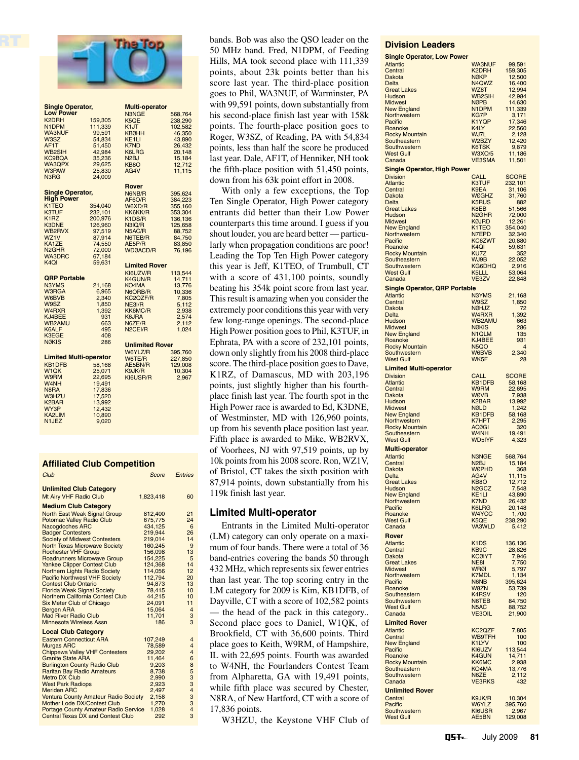

| <b>Single Operator,</b>        |         |                        | <b>Multi-operator</b> |  |  |  |  |  |
|--------------------------------|---------|------------------------|-----------------------|--|--|--|--|--|
| <b>Low Power</b>               |         | N3NGE                  | 568,764               |  |  |  |  |  |
| K <sub>2</sub> DRH             | 159,305 | K5QE                   | 238,290               |  |  |  |  |  |
| N1DPM                          |         |                        |                       |  |  |  |  |  |
|                                | 111,339 | K <sub>1</sub> JT      | 102,582               |  |  |  |  |  |
| <b>WA3NUF</b>                  | 99,591  | KBØHH                  | 46,350                |  |  |  |  |  |
| W3SZ                           | 54,834  | KE <sub>1</sub> LI     | 43,890                |  |  |  |  |  |
| AF1T                           | 51,450  | K7ND                   | 26,432                |  |  |  |  |  |
| <b>WB2SIH</b>                  | 42,984  | K6LRG                  | 20,148                |  |  |  |  |  |
| <b>KC9BQA</b>                  | 35,236  | N <sub>2</sub> BJ      | 15,184                |  |  |  |  |  |
| WA3QPX                         | 29,625  | KB <sub>8</sub> O      | 12,712                |  |  |  |  |  |
| <b>W3PAW</b>                   | 25,830  | AG4V                   | 11,115                |  |  |  |  |  |
| N <sub>3</sub> R <sub>G</sub>  | 24,009  |                        |                       |  |  |  |  |  |
|                                |         |                        |                       |  |  |  |  |  |
|                                |         | Rover                  |                       |  |  |  |  |  |
| <b>Single Operator,</b>        |         | N6NB/R                 | 395,624               |  |  |  |  |  |
| <b>High Power</b>              |         | AF6O/R                 | 384,223               |  |  |  |  |  |
| K <sub>1</sub> T <sub>EO</sub> | 354,040 | W6XD/R                 | 355,160               |  |  |  |  |  |
| <b>K3TUF</b>                   | 232,101 | KK6KK/R                | 353,304               |  |  |  |  |  |
| K <sub>1</sub> R <sub>Z</sub>  | 200,976 | K1DS/R                 | 136,136               |  |  |  |  |  |
| <b>K3DNE</b>                   | 126,960 | N3IQ/R                 | 125,658               |  |  |  |  |  |
| WB2RVX                         | 97,519  | N5AC/R                 | 88,752                |  |  |  |  |  |
| WZ1V                           |         | N6TEB/R                |                       |  |  |  |  |  |
|                                | 87,914  |                        | 84,750                |  |  |  |  |  |
| KA1ZE                          | 74,550  | AE5P/R                 | 83,850                |  |  |  |  |  |
| N <sub>2</sub> GH <sub>R</sub> | 72,000  | WDØACD/R               | 76,196                |  |  |  |  |  |
| <b>WA3DRC</b>                  | 67,184  |                        |                       |  |  |  |  |  |
| K <sub>4</sub> QI              | 59,631  | Limited Rover          |                       |  |  |  |  |  |
|                                |         | KI6UZV/R               | 113,544               |  |  |  |  |  |
| <b>QRP Portable</b>            |         | K4GUN/R                | 14,711                |  |  |  |  |  |
| N3YMS                          | 21,168  | KO4MA                  | 13,776                |  |  |  |  |  |
|                                |         |                        |                       |  |  |  |  |  |
| W3RGA                          | 6,965   | N6ORB/R                | 10,336                |  |  |  |  |  |
| W6BVB                          | 2,340   | KC2QZF/R               | 7,805                 |  |  |  |  |  |
| W9SZ                           | 1,850   | NE3I/R                 | 5,112                 |  |  |  |  |  |
| W <sub>4</sub> R <sub>XR</sub> | 1.392   | KK6MC/R                | 2,938                 |  |  |  |  |  |
| KJ4BEE                         | 931     | K6JRA                  | 2,574                 |  |  |  |  |  |
| <b>WB2AMU</b>                  | 663     | N6ZE/R                 | 2,112                 |  |  |  |  |  |
| K6ALF                          | 495     | N2CEI/R                | 1,024                 |  |  |  |  |  |
| K3EGE                          | 408     |                        |                       |  |  |  |  |  |
| <b>NØKIS</b>                   | 286     | <b>Unlimited Rover</b> |                       |  |  |  |  |  |
|                                |         |                        |                       |  |  |  |  |  |
| <b>Limited Multi-operator</b>  |         | W6YLZ/R                | 395,760               |  |  |  |  |  |
|                                |         | W6TE/R                 | 227,850               |  |  |  |  |  |
| <b>KB1DFB</b>                  | 58,168  | AE5BN/R                | 129,008               |  |  |  |  |  |
| W <sub>1</sub> QK              | 25,071  | K9JK/R                 | 10,304                |  |  |  |  |  |
| W9RM                           | 22,695  | KI6USR/R               | 2,967                 |  |  |  |  |  |
| W <sub>4</sub> NH              | 19,491  |                        |                       |  |  |  |  |  |
| N8RA                           | 17,836  |                        |                       |  |  |  |  |  |
| <b>W3HZU</b>                   | 17,520  |                        |                       |  |  |  |  |  |
| K <sub>2</sub> BAR             | 13,992  |                        |                       |  |  |  |  |  |
| WY3P                           | 12,432  |                        |                       |  |  |  |  |  |
| KA2LIM                         | 10,890  |                        |                       |  |  |  |  |  |
| N <sub>1</sub> JEZ             | 9,020   |                        |                       |  |  |  |  |  |
|                                |         |                        |                       |  |  |  |  |  |

#### **Affiliated Club Competition**

| Club                                                                                                                                                                                                                                                                                                                                                                                                                                                                                                                                                                                       | Score                                                                                                                                                                             | Entries                                                                                                           |
|--------------------------------------------------------------------------------------------------------------------------------------------------------------------------------------------------------------------------------------------------------------------------------------------------------------------------------------------------------------------------------------------------------------------------------------------------------------------------------------------------------------------------------------------------------------------------------------------|-----------------------------------------------------------------------------------------------------------------------------------------------------------------------------------|-------------------------------------------------------------------------------------------------------------------|
| <b>Unlimited Club Category</b><br>Mt Airy VHF Radio Club                                                                                                                                                                                                                                                                                                                                                                                                                                                                                                                                   | 1,823,418                                                                                                                                                                         | 60                                                                                                                |
| <b>Medium Club Category</b>                                                                                                                                                                                                                                                                                                                                                                                                                                                                                                                                                                |                                                                                                                                                                                   |                                                                                                                   |
| North East Weak Signal Group<br><b>Potomac Valley Radio Club</b><br><b>Nacogdoches ARC</b><br><b>Badger Contesters</b><br><b>Society of Midwest Contesters</b><br><b>North Texas Microwave Society</b><br><b>Rochester VHF Group</b><br><b>Roadrunners Microwave Group</b><br><b>Yankee Clipper Contest Club</b><br><b>Northern Lights Radio Society</b><br><b>Pacific Northwest VHF Society</b><br><b>Contest Club Ontario</b><br><b>Florida Weak Signal Society</b><br>Northern California Contest Club<br>Six Meter Club of Chicago<br><b>Bergen ARA</b><br><b>Mad River Radio Club</b> | 812,400<br>675,775<br>434.125<br>219,944<br>219,014<br>160.245<br>156,098<br>154,225<br>124,368<br>114,056<br>112,794<br>94,873<br>78,415<br>44,215<br>24.091<br>15,064<br>11,701 | 21<br>24<br>6<br>26<br>14<br>9<br>13<br>5<br>14<br>12<br>20<br>13<br>10<br>10<br>11<br>$\overline{4}$<br>3        |
| <b>Minnesota Wireless Assn</b>                                                                                                                                                                                                                                                                                                                                                                                                                                                                                                                                                             | 186                                                                                                                                                                               | 3                                                                                                                 |
| <b>Local Club Category</b><br><b>Eastern Connecticut ARA</b><br><b>Murgas ARC</b><br><b>Chippewa Valley VHF Contesters</b><br><b>Granite State ARA</b><br><b>Burlington County Radio Club</b><br><b>Raritan Bay Radio Amateurs</b><br><b>Metro DX Club</b><br><b>West Park Radiops</b><br><b>Meriden ARC</b><br><b>Ventura County Amateur Radio Society</b><br>Mother Lode DX/Contest Club<br><b>Portage County Amateur Radio Service</b><br><b>Central Texas DX and Contest Club</b>                                                                                                      | 107,249<br>78.589<br>29,202<br>11,464<br>9.203<br>8,738<br>2,990<br>2,923<br>2,497<br>2,158<br>1,270<br>1,028<br>292                                                              | $\overline{4}$<br>$\overline{4}$<br>$\overline{4}$<br>6<br>8<br>5<br>3<br>3<br>$\overline{4}$<br>3<br>3<br>4<br>3 |

50 MHz band. Fred, N1DPM, of Feeding Hills, MA took second place with 111,339 points, about 23k points better than his score last year. The third-place position goes to Phil, WA3NUF, of Warminster, PA with 99,591 points, down substantially from his second-place finish last year with 158k points. The fourth-place position goes to Roger, W3SZ, of Reading, PA with 54,834 points, less than half the score he produced last year. Dale, AF1T, of Henniker, NH took the fifth-place position with 51,450 points, down from his 63k point effort in 2008.

With only a few exceptions, the Top Ten Single Operator, High Power category entrants did better than their Low Power counterparts this time around. I guess if you shout louder, you are heard better — particularly when propagation conditions are poor! Leading the Top Ten High Power category this year is Jeff, K1TEO, of Trumbull, CT with a score of 431,100 points, soundly beating his 354k point score from last year. This result is amazing when you consider the extremely poor conditions this year with very few long-range openings. The second-place High Power position goes to Phil, K3TUF, in Ephrata, PA with a score of 232,101 points, down only slightly from his 2008 third-place score. The third-place position goes to Dave, K1RZ, of Damascus, MD with 203,196 points, just slightly higher than his fourthplace finish last year. The fourth spot in the High Power race is awarded to Ed, K3DNE, of Westminster, MD with 126,960 points, up from his seventh place position last year. Fifth place is awarded to Mike, WB2RVX, of Voorhees, NJ with 97,519 points, up by 10k points from his 2008 score. Ron, WZ1V, of Bristol, CT takes the sixth position with 87,914 points, down substantially from his 119k finish last year.

## **Limited Multi-operator**

Entrants in the Limited Multi-operator (LM) category can only operate on a maximum of four bands. There were a total of 36 band-entries covering the bands 50 through 432 MHz, which represents six fewer entries than last year. The top scoring entry in the LM category for 2009 is Kim, KB1DFB, of Dayville, CT with a score of 102,582 points — the head of the pack in this category.. Second place goes to Daniel, W1QK, of Brookfield, CT with 36,600 points. Third place goes to Keith, W9RM, of Hampshire, IL with 22,695 points. Fourth was awarded to W4NH, the Fourlanders Contest Team from Alpharetta, GA with 19,491 points, while fifth place was secured by Chester, N8RA, of New Hartford, CT with a score of 17,836 points.

W3HZU, the Keystone VHF Club of

## **Division Leaders**

| <b>Single Operator, Low Power</b> |  |  |
|-----------------------------------|--|--|
|                                   |  |  |

| ոււցւշ ∖<br>rorator,<br>.<br><b>Atlantic</b> | <b>WA3NUF</b>                                        | 99,591           |
|----------------------------------------------|------------------------------------------------------|------------------|
| Central                                      | K2DRH                                                | 159,305          |
| Dakota                                       | <b>NØKP</b>                                          | 12,500           |
| Delta                                        | N4QWZ                                                | 16,400           |
| <b>Great Lakes</b>                           | WZ8T                                                 | 12,994           |
| Hudson<br><b>Midwest</b>                     | WB2SIH<br><b>NØPB</b>                                | 42,984<br>14,630 |
| <b>New England</b>                           | N1DPM                                                | 111,339          |
| Northwestern                                 | KG7P                                                 | 3,171            |
| Pacific                                      | K1YQP                                                | 17,346           |
| Roanoke                                      | K4LY                                                 | 22,560           |
| <b>Rocky Mountain</b><br>Southeastern        | WJ7L<br>W2BZY                                        | 2,128<br>12,420  |
| Southwestern                                 | K6TSK                                                | 9,879            |
| <b>West Gulf</b>                             | <b>W3XO/5</b>                                        | 11,186           |
| Canada                                       | <b>VE3SMA</b>                                        | 11,501           |
| Single Operator, High Power                  |                                                      |                  |
| <b>Division</b>                              | CALL                                                 | <b>SCORE</b>     |
| <b>Atlantic</b>                              | K3TUF                                                | 232,101          |
| Central                                      | K9EA                                                 | 31,106<br>31,760 |
| Dakota                                       | <b>WØGHZ</b>                                         |                  |
| Delta<br><b>Great Lakes</b>                  | <b>K5RUS</b><br>K8EB                                 | 882<br>51,566    |
| Hudson                                       | N <sub>2</sub> GHR                                   | 72,000           |
| <b>Midwest</b>                               | <b>KØJRD</b>                                         | 12,261           |
| <b>New England</b>                           | K1TEO                                                | 354,040          |
| Northwestern                                 | N7EPD                                                | 32,340           |
| <b>Pacific</b>                               | KC6ZWT                                               | 20,880           |
| Roanoke<br><b>Rocky Mountain</b>             | K4QI<br>KU7Z                                         | 59,631<br>352    |
| Southeastern                                 | WJ9B                                                 | 22,052           |
| Southwestern                                 | KG6DHQ                                               | 2,916            |
| <b>West Gulf</b>                             | K5LLL                                                | 53,064           |
| Canada                                       | VE3ZV                                                | 22,848           |
| Single Operator, QRP Portable                |                                                      |                  |
| <b>Atlantic</b>                              | N3YMS                                                | 21,168           |
| Central                                      | W9SZ                                                 | 1,850            |
| <b>Dakota</b><br>Delta                       | <b>NØHJZ</b><br>W4RXR                                | 72               |
| Hudson                                       | WB2AMU                                               | 1,392<br>663     |
| <b>Midwest</b>                               | <b>NØKIS</b>                                         | 286              |
| <b>New England</b>                           | N <sub>1</sub> QLM                                   | 135              |
| Roanoke                                      | KJ4BEE                                               | 931              |
| <b>Rocky Mountain</b>                        | N <sub>5</sub> QO                                    | $\overline{4}$   |
| Southwestern                                 | W6BVB                                                | 2,340            |
| <b>West Gulf</b>                             | WK5F                                                 | 28               |
| <b>Limited Multi-operator</b>                |                                                      |                  |
| <b>Division</b>                              | CALL                                                 | <b>SCORE</b>     |
| <b>Atlantic</b><br>Central                   | KB1DFB<br>W9RM                                       | 58,168<br>22,695 |
| Dakota                                       | WØVB                                                 | 7,938            |
| Hudson                                       | K <sub>2</sub> BAR                                   | 13,992           |
| <b>Midwest</b>                               | <b>NØLD</b>                                          | 1,242            |
| <b>New England</b>                           | <b>KB1DFB</b>                                        | 58,168           |
| Northwestern                                 | K7HPT                                                | 2,295            |
| <b>Rocky Mountain</b><br>Southeastern        | <b>ACØGI</b><br>W4NH                                 | 320<br>19,491    |
| <b>West Gulf</b>                             | <b>WD5IYF</b>                                        | 4,323            |
| <b>Multi-operator</b>                        |                                                      |                  |
| <b>Atlantic</b>                              | N3NGE                                                | 568,764          |
| Central                                      | N <sub>2</sub> BJ                                    | 15,184           |
| <b>Dakota</b>                                | <b>WØPHD</b>                                         | 368              |
| <b>Delta</b>                                 | AG4V                                                 | 11,115           |
| <b>Great Lakes</b>                           | KB8O                                                 | 12,712           |
| Hudson                                       | N <sub>2</sub> GC <sub>Z</sub><br>KE <sub>1</sub> LI | 7,548<br>43,890  |
| <b>New England</b><br>Northwestern           | <b>K7ND</b>                                          | 26,432           |
| Pacific                                      | K6LRG                                                | 20,148           |
| Roanoke                                      | W4YCC                                                | 1,700            |
| <b>West Gulf</b>                             | K5QE                                                 | 238,290          |
| Canada                                       | <b>VA3WLD</b>                                        | 5,412            |
| Rover                                        |                                                      |                  |
| <b>Atlantic</b>                              | K <sub>1</sub> D <sub>S</sub>                        | 136,136          |
| Central                                      | KB9C<br><b>KCØIYT</b>                                | 28,826           |
| Dakota<br><b>Great Lakes</b>                 | NE8I                                                 | 7,946            |
| <b>Midwest</b>                               | WRØI                                                 | 7,750<br>5,797   |
| Northwestern                                 | K7MDL                                                | 1,134            |
| Pacific                                      | N6NB                                                 | 395,624          |
| Roanoke                                      | W8ZN                                                 | 53,739           |
| Southeastern<br>Southwestern                 | <b>K4RSV</b><br>N6TEB                                | 120<br>84,750    |
| <b>West Gulf</b>                             | N <sub>5</sub> AC                                    | 88,752           |
| Canada                                       | <b>VE3OIL</b>                                        | 21,900           |
| <b>Limited Rover</b>                         |                                                      |                  |
| <b>Atlantic</b>                              | KC2QZF                                               | 7,805            |
| Central                                      | WB9TFH                                               | 100              |
| <b>New England</b>                           | K1LYV                                                | 100              |
| Pacific                                      | KI6UZV                                               | 113,544          |
| Roanoke                                      | K4GUN                                                | 14,711           |
| <b>Rocky Mountain</b><br>Southeastern        | KK6MC<br>KO4MA                                       | 2,938<br>13,776  |
| Southwestern                                 | N6ZE                                                 | 2,112            |
| Canada                                       | <b>VE3RKS</b>                                        | 432              |
| <b>Unlimited Rover</b>                       |                                                      |                  |
| Central                                      | K9JK/R                                               | 10,304           |
| Pacific                                      | W6YLZ                                                | 395,760          |
| Southwestern                                 | KI6USR                                               | 2,967            |
| <b>West Gulf</b>                             | AE5BN                                                | 129,008          |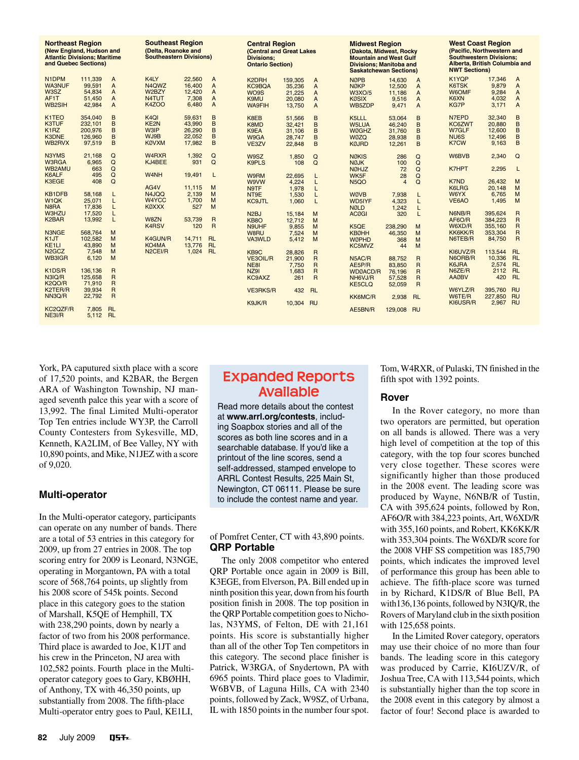| <b>Northeast Region</b><br>(New England, Hudson and<br><b>Atlantic Divisions: Maritime</b><br>and Quebec Sections) |         |                | <b>Southeast Region</b><br>(Delta, Roanoke and<br><b>Southeastern Divisions)</b> |        | <b>Divisions:</b> | <b>Central Region</b><br>(Central and Great Lakes<br><b>Ontario Section)</b> |         |                | <b>Midwest Region</b><br>(Dakota, Midwest, Rocky<br><b>Mountain and West Gulf</b><br><b>Divisions; Manitoba and</b><br><b>Saskatchewan Sections)</b> |                |                | <b>West Coast Region</b><br>(Pacific, Northwestern and<br><b>Southwestern Divisions:</b><br>Alberta, British Columbia and<br><b>NWT Sections)</b> |         |                |
|--------------------------------------------------------------------------------------------------------------------|---------|----------------|----------------------------------------------------------------------------------|--------|-------------------|------------------------------------------------------------------------------|---------|----------------|------------------------------------------------------------------------------------------------------------------------------------------------------|----------------|----------------|---------------------------------------------------------------------------------------------------------------------------------------------------|---------|----------------|
| N <sub>1</sub> DPM                                                                                                 | 111.339 | A              | K4LY                                                                             | 22,560 | A                 | K2DRH                                                                        | 159.305 | $\overline{A}$ | <b>NØPB</b>                                                                                                                                          | 14.630         | $\overline{A}$ | K1YQP                                                                                                                                             | 17.346  | A              |
| <b>WA3NUF</b>                                                                                                      | 99.591  | A              | N <sub>4</sub> QWZ                                                               | 16.400 | A                 | <b>KC9BQA</b>                                                                | 35.236  | $\overline{A}$ | <b>NØKP</b>                                                                                                                                          | 12,500         | $\overline{A}$ | K6TSK                                                                                                                                             | 9.879   | A              |
| W <sub>3</sub> SZ                                                                                                  | 54.834  | A              | W2BZY                                                                            | 12.420 | A                 | WO9S                                                                         | 21,225  | $\overline{A}$ | <b>W3XO/5</b>                                                                                                                                        | 11.186         | $\mathsf{A}$   | W6OMF                                                                                                                                             | 9.284   | A              |
| AF1T                                                                                                               | 51,450  | A              | N4TUT                                                                            | 7.308  | A                 | K9MU                                                                         | 20,080  | $\overline{A}$ | <b>KØSIX</b>                                                                                                                                         | 9,516          | $\overline{A}$ | K6XN                                                                                                                                              | 4,032   | A              |
| WB2SIH                                                                                                             | 42,984  | A              | <b>K4ZOO</b>                                                                     | 6.480  | $\overline{A}$    | <b>WA9FIH</b>                                                                | 13.750  | A              | WB5ZDP                                                                                                                                               | 9.471          | $\overline{A}$ | <b>KG7P</b>                                                                                                                                       | 3,171   | $\overline{A}$ |
|                                                                                                                    |         |                |                                                                                  |        |                   |                                                                              |         |                |                                                                                                                                                      |                |                |                                                                                                                                                   |         |                |
| K <sub>1</sub> TEO                                                                                                 | 354.040 | B              | K <sub>4</sub> QI                                                                | 59.631 | B                 | K8EB                                                                         | 51.566  | B              | K5LLL                                                                                                                                                | 53.064         | B              | N7EPD                                                                                                                                             | 32.340  | B              |
| K3TUF                                                                                                              | 232.101 | B              | KE2N                                                                             | 43,990 | B                 | K8MD                                                                         | 32.421  | B              | <b>W5LUA</b>                                                                                                                                         | 46.240         | B              | KC6ZWT                                                                                                                                            | 20.880  | B              |
| K <sub>1</sub> RZ                                                                                                  | 200.976 | B              | <b>W3IP</b>                                                                      | 26,290 | B                 | K9EA                                                                         | 31.106  | B              | <b>WØGHZ</b>                                                                                                                                         | 31.760         | B              | W7GLF                                                                                                                                             | 12,600  | B              |
| <b>K3DNE</b>                                                                                                       | 126,960 | B              | WJ9B                                                                             | 22,052 | B                 | W9GA                                                                         | 28.747  | B              | <b>WØZO</b>                                                                                                                                          | 28.938         | B              | NU <sub>6</sub> S                                                                                                                                 | 12,496  | B              |
| WB2RVX                                                                                                             | 97,519  | B              | <b>KØVXM</b>                                                                     | 17,982 | B                 | VE3ZV                                                                        | 22,848  | B              | <b>KØJRD</b>                                                                                                                                         | 12.261         | B              | <b>K7CW</b>                                                                                                                                       | 9,163   | B              |
|                                                                                                                    |         |                |                                                                                  |        |                   |                                                                              |         |                |                                                                                                                                                      |                |                |                                                                                                                                                   |         |                |
| N3YMS                                                                                                              | 21.168  | $\Omega$       | W <sub>4</sub> R <sub>XR</sub>                                                   | 1.392  | Q                 | W9SZ                                                                         | 1,850   | Q              | <b>NØKIS</b>                                                                                                                                         | 286            | Q              | W6BVB                                                                                                                                             | 2.340   | $\Omega$       |
| W3RGA                                                                                                              | 6.965   | Q              | KJ4BEE                                                                           | 931    | Q                 | <b>K9PLS</b>                                                                 | 108     | Q              | <b>NØJK</b>                                                                                                                                          | 100            | Q              |                                                                                                                                                   |         |                |
| WB2AMU                                                                                                             | 663     | Q              |                                                                                  |        |                   |                                                                              |         |                | <b>NØHJZ</b>                                                                                                                                         | 72             | $\Omega$       | <b>K7HPT</b>                                                                                                                                      | 2,295   | L              |
| K6ALF                                                                                                              | 495     | $\Omega$       | W <sub>4</sub> NH                                                                | 19.491 | L                 | W9RM                                                                         | 22.695  | L              | WK5F                                                                                                                                                 | 28             | Q              |                                                                                                                                                   |         |                |
| K3EGE                                                                                                              | 408     | Q              |                                                                                  |        |                   | <b>W9VW</b>                                                                  | 4,224   | L              | N <sub>5</sub> QO                                                                                                                                    | $\overline{4}$ | Q              | K7ND                                                                                                                                              | 26.432  | M              |
|                                                                                                                    |         |                | AG4V                                                                             | 11.115 | M                 | N9TF                                                                         | 1,978   | L              |                                                                                                                                                      |                |                | <b>K6LRG</b>                                                                                                                                      | 20.148  | M              |
| KB1DFB                                                                                                             | 58.168  | L              | N4JQQ                                                                            | 2.139  | M                 | NT9E                                                                         | 1.530   |                | <b>WØVB</b>                                                                                                                                          | 7.938          |                | W6YX                                                                                                                                              | 6.765   | M              |
| W <sub>1</sub> QK                                                                                                  | 25,071  | L              | W4YCC                                                                            | 1.700  | M                 |                                                                              |         | L              | WD5IYF                                                                                                                                               |                | L              | VE6AO                                                                                                                                             | 1.495   | M              |
|                                                                                                                    |         |                |                                                                                  |        |                   | <b>KC9JTL</b>                                                                | 1,060   | L              |                                                                                                                                                      | 4,323          | L              |                                                                                                                                                   |         |                |
| N8RA                                                                                                               | 17.836  | L              | <b>KØXXX</b>                                                                     | 527    | M                 |                                                                              |         |                | <b>NØLD</b>                                                                                                                                          | 1,242          | L              |                                                                                                                                                   |         |                |
| <b>W3HZU</b>                                                                                                       | 17.520  | L              |                                                                                  |        |                   | N <sub>2</sub> BJ                                                            | 15.184  | M              | <b>ACØGI</b>                                                                                                                                         | 320            | L              | N6NB/R                                                                                                                                            | 395.624 | $\overline{R}$ |
| K <sub>2</sub> BAR                                                                                                 | 13,992  | L              | W8ZN                                                                             | 53.739 | $\overline{R}$    | KB <sub>8</sub> O                                                            | 12.712  | M              |                                                                                                                                                      |                |                | AF6O/R                                                                                                                                            | 384.223 | $\mathsf{R}$   |
|                                                                                                                    |         |                | K4RSV                                                                            | 120    | $\overline{R}$    | N9UHF                                                                        | 9,855   | M              | K5QE                                                                                                                                                 | 238,290        | M              | W6XD/R                                                                                                                                            | 355.160 | $\overline{R}$ |
| N3NGE                                                                                                              | 568.764 | M              |                                                                                  |        |                   | W8RU                                                                         | 7,524   | M              | <b>KBØHH</b>                                                                                                                                         | 46.350         | M              | KK6KK/R                                                                                                                                           | 353,304 | $\overline{R}$ |
| K <sub>1</sub> JT                                                                                                  | 102.582 | M              | K4GUN/R                                                                          | 14.711 | <b>RL</b>         | VA3WLD                                                                       | 5.412   | M              | <b>WØPHD</b>                                                                                                                                         | 368            | M              | N6TEB/R                                                                                                                                           | 84,750  | $\overline{R}$ |
| KE <sub>1</sub> LI                                                                                                 | 43.890  | M              | KO4MA                                                                            | 13.776 | RL                |                                                                              |         |                | KC5MVZ                                                                                                                                               | 44             | M              |                                                                                                                                                   |         |                |
| N <sub>2</sub> GC <sub>Z</sub>                                                                                     | 7.548   | M              | N <sub>2</sub> CEI/R                                                             | 1.024  | <b>RL</b>         | KB9C                                                                         | 28.826  | $\overline{R}$ |                                                                                                                                                      |                |                | KI6UVZ/R                                                                                                                                          | 113.544 | RL             |
| <b>WB3IGR</b>                                                                                                      | 6.120   | M              |                                                                                  |        |                   | <b>VE3OIL/R</b>                                                              | 21,900  | R              | N5AC/R                                                                                                                                               | 88.752         | $\mathsf{R}$   | N6ORB/R                                                                                                                                           | 10.336  | <b>RL</b>      |
|                                                                                                                    |         |                |                                                                                  |        |                   | NE8I                                                                         | 7.750   | R              | AE5P/R                                                                                                                                               | 83,850         | $\overline{R}$ | K6JRA                                                                                                                                             | 2.574   | <b>RL</b>      |
| K <sub>1</sub> D <sub>S</sub> /R                                                                                   | 136.136 | $\mathsf{R}$   |                                                                                  |        |                   | <b>NZ91</b>                                                                  | 1.683   | $\overline{R}$ | <b>WDØACD/R</b>                                                                                                                                      | 76.196         | R              | N6ZE/R                                                                                                                                            | 2112    | <b>RL</b>      |
| N3IQ/R                                                                                                             | 125.658 | $\overline{R}$ |                                                                                  |        |                   | KC9AXZ                                                                       | 261     | R              | NH6VJ/R                                                                                                                                              | 57,528         | $\mathsf{R}$   | <b>AAØBV</b>                                                                                                                                      | 420     | <b>RL</b>      |
| <b>K2QO/R</b>                                                                                                      | 71.910  | $\overline{R}$ |                                                                                  |        |                   |                                                                              |         |                |                                                                                                                                                      |                |                |                                                                                                                                                   |         |                |
| K2TER/R                                                                                                            |         |                |                                                                                  |        |                   |                                                                              |         |                | <b>KE5CLQ</b>                                                                                                                                        | 52,059         | $\overline{R}$ | W6YLZ/R                                                                                                                                           | 395.760 | <b>RU</b>      |
|                                                                                                                    | 39,934  | R              |                                                                                  |        |                   | <b>VE3RKS/R</b>                                                              | 432     | <b>RL</b>      |                                                                                                                                                      |                |                |                                                                                                                                                   |         |                |
| NN3Q/R                                                                                                             | 22.792  | $\overline{R}$ |                                                                                  |        |                   |                                                                              |         |                | KK6MC/R                                                                                                                                              | 2.938          | <b>RL</b>      | W6TE/R                                                                                                                                            | 227,850 | <b>RU</b>      |
|                                                                                                                    |         |                |                                                                                  |        |                   | K9JK/R                                                                       | 10,304  | <b>RU</b>      |                                                                                                                                                      |                |                | KI6USR/R                                                                                                                                          | 2,967   | <b>RU</b>      |
| KC2QZF/R                                                                                                           | 7.805   | <b>RL</b>      |                                                                                  |        |                   |                                                                              |         |                | AE5BN/R                                                                                                                                              | 129,008        | <b>RU</b>      |                                                                                                                                                   |         |                |
| NE3I/R                                                                                                             | 5.112   | <b>RL</b>      |                                                                                  |        |                   |                                                                              |         |                |                                                                                                                                                      |                |                |                                                                                                                                                   |         |                |

York, PA caputured sixth place with a score of 17,520 points, and K2BAR, the Bergen ARA of Washington Township, NJ managed seventh palce this year with a score of 13,992. The final Limited Multi-operator Top Ten entries include WY3P, the Carroll County Contesters from Sykesville, MD, Kenneth, KA2LIM, of Bee Valley, NY with 10,890 points, and Mike, N1JEZ with a score of 9,020.

## **Multi-operator**

In the Multi-operator category, participants can operate on any number of bands. There are a total of 53 entries in this category for 2009, up from 27 entries in 2008. The top scoring entry for 2009 is Leonard, N3NGE, operating in Morgantown, PA with a total score of 568,764 points, up slightly from his 2008 score of 545k points. Second place in this category goes to the station of Marshall, K5QE of Hemphill, TX with 238,290 points, down by nearly a factor of two from his 2008 performance. Third place is awarded to Joe, K1JT and his crew in the Princeton, NJ area with 102,582 points. Fourth place in the Multioperator category goes to Gary, KBØHH, of Anthony, TX with 46,350 points, up substantially from 2008. The fifth-place Multi-operator entry goes to Paul, KE1LI,

## **Expanded Reports Available**

Read more details about the contest at **www.arrl.org/contests**, including Soapbox stories and all of the scores as both line scores and in a searchable database. If you'd like a printout of the line scores, send a self-addressed, stamped envelope to ARRL Contest Results, 225 Main St, Newington, CT 06111. Please be sure to include the contest name and year.

of Pomfret Center, CT with 43,890 points. **QRP Portable**

The only 2008 competitor who entered QRP Portable once again in 2009 is Bill, K3EGE, from Elverson, PA. Bill ended up in ninth position this year, down from his fourth position finish in 2008. The top position in the QRP Portable competition goes to Nicholas, N3YMS, of Felton, DE with 21,161 points. His score is substantially higher than all of the other Top Ten competitors in this category. The second place finisher is Patrick, W3RGA, of Snydertown, PA with 6965 points. Third place goes to Vladimir, W6BVB, of Laguna Hills, CA with 2340 points, followed by Zack, W9SZ, of Urbana, IL with 1850 points in the number four spot.

Tom, W4RXR, of Pulaski, TN finished in the fifth spot with 1392 points.

## **Rover**

In the Rover category, no more than two operators are permitted, but operation on all bands is allowed. There was a very high level of competition at the top of this category, with the top four scores bunched very close together. These scores were significantly higher than those produced in the 2008 event. The leading score was produced by Wayne, N6NB/R of Tustin, CA with 395,624 points, followed by Ron, AF6O/R with 384,223 points, Art, W6XD/R with 355,160 points, and Robert, KK6KK/R with 353,304 points. The W6XD/R score for the 2008 VHF SS competition was 185,790 points, which indicates the improved level of performance this group has been able to achieve. The fifth-place score was turned in by Richard, K1DS/R of Blue Bell, PA with136,136 points, followed by N3IQ/R, the Rovers of Maryland club in the sixth position with 125,658 points.

In the Limited Rover category, operators may use their choice of no more than four bands. The leading score in this category was produced by Carrie, KI6UZV/R, of Joshua Tree, CA with 113,544 points, which is substantially higher than the top score in the 2008 event in this category by almost a factor of four! Second place is awarded to